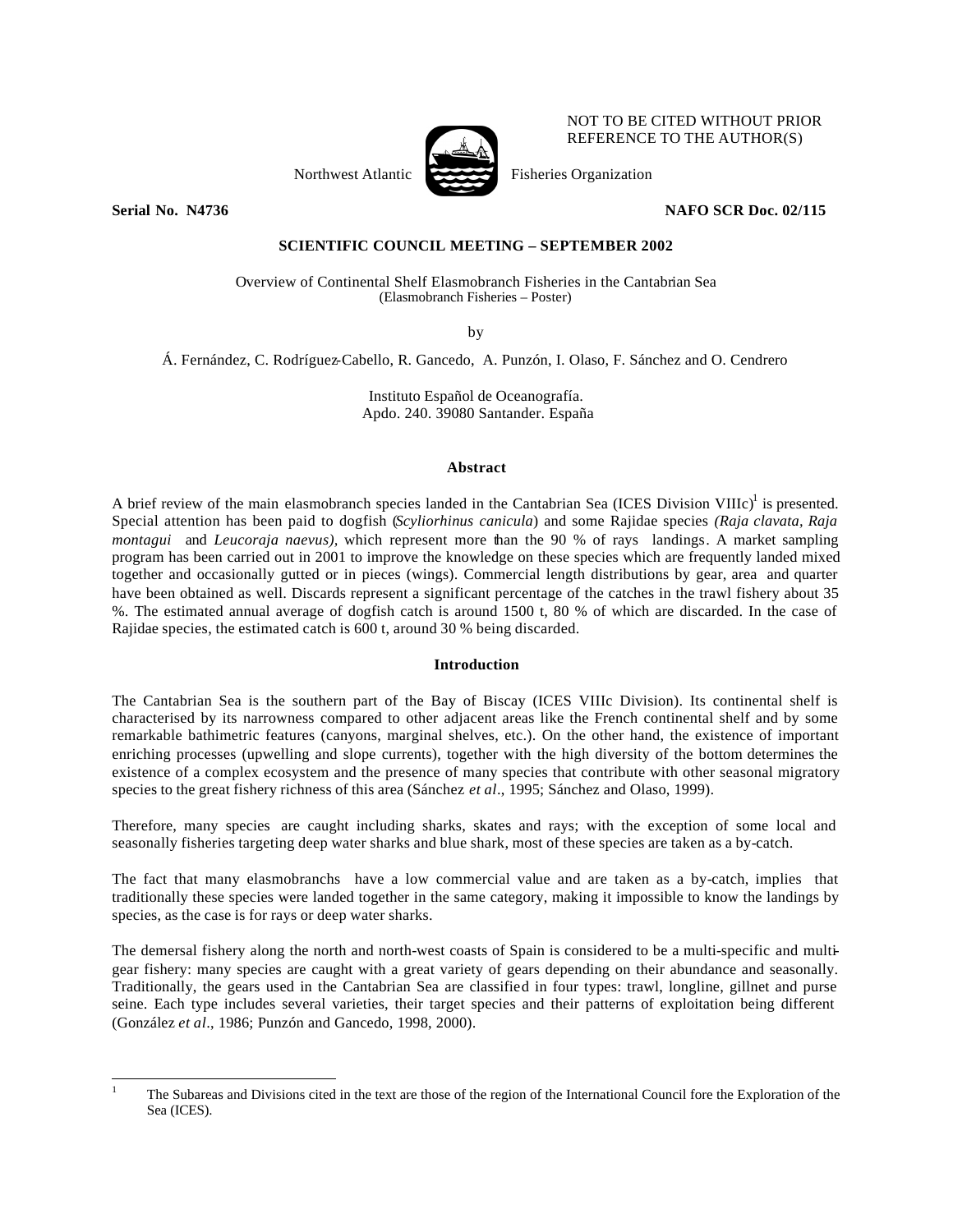

NOT TO BE CITED WITHOUT PRIOR REFERENCE TO THE AUTHOR(S)

Northwest Atlantic Fisheries Organization

# **Serial No. N4736 NAFO SCR Doc. 02/115**

# **SCIENTIFIC COUNCIL MEETING – SEPTEMBER 2002**

Overview of Continental Shelf Elasmobranch Fisheries in the Cantabrian Sea (Elasmobranch Fisheries – Poster)

by

Á. Fernández, C. Rodríguez-Cabello, R. Gancedo, A. Punzón, I. Olaso, F. Sánchez and O. Cendrero

Instituto Español de Oceanografía. Apdo. 240. 39080 Santander. España

#### **Abstract**

A brief review of the main elasmobranch species landed in the Cantabrian Sea (ICES Division VIIIc)<sup>1</sup> is presented. Special attention has been paid to dogfish (*Scyliorhinus canicula*) and some Rajidae species *(Raja clavata, Raja montagui* and *Leucoraja naevus),* which represent more than the 90 % of rays landings. A market sampling program has been carried out in 2001 to improve the knowledge on these species which are frequently landed mixed together and occasionally gutted or in pieces (wings). Commercial length distributions by gear, area and quarter have been obtained as well. Discards represent a significant percentage of the catches in the trawl fishery about 35 %. The estimated annual average of dogfish catch is around 1500 t, 80 % of which are discarded. In the case of Rajidae species, the estimated catch is 600 t, around 30 % being discarded.

## **Introduction**

The Cantabrian Sea is the southern part of the Bay of Biscay (ICES VIIIc Division). Its continental shelf is characterised by its narrowness compared to other adjacent areas like the French continental shelf and by some remarkable bathimetric features (canyons, marginal shelves, etc.). On the other hand, the existence of important enriching processes (upwelling and slope currents), together with the high diversity of the bottom determines the existence of a complex ecosystem and the presence of many species that contribute with other seasonal migratory species to the great fishery richness of this area (Sánchez *et al*., 1995; Sánchez and Olaso, 1999).

Therefore, many species are caught including sharks, skates and rays; with the exception of some local and seasonally fisheries targeting deep water sharks and blue shark, most of these species are taken as a by-catch.

The fact that many elasmobranchs have a low commercial value and are taken as a by-catch, implies that traditionally these species were landed together in the same category, making it impossible to know the landings by species, as the case is for rays or deep water sharks.

The demersal fishery along the north and north-west coasts of Spain is considered to be a multi-specific and multigear fishery: many species are caught with a great variety of gears depending on their abundance and seasonally. Traditionally, the gears used in the Cantabrian Sea are classified in four types: trawl, longline, gillnet and purse seine. Each type includes several varieties, their target species and their patterns of exploitation being different (González *et al*., 1986; Punzón and Gancedo, 1998, 2000).

l <sup>1</sup> The Subareas and Divisions cited in the text are those of the region of the International Council fore the Exploration of the Sea (ICES).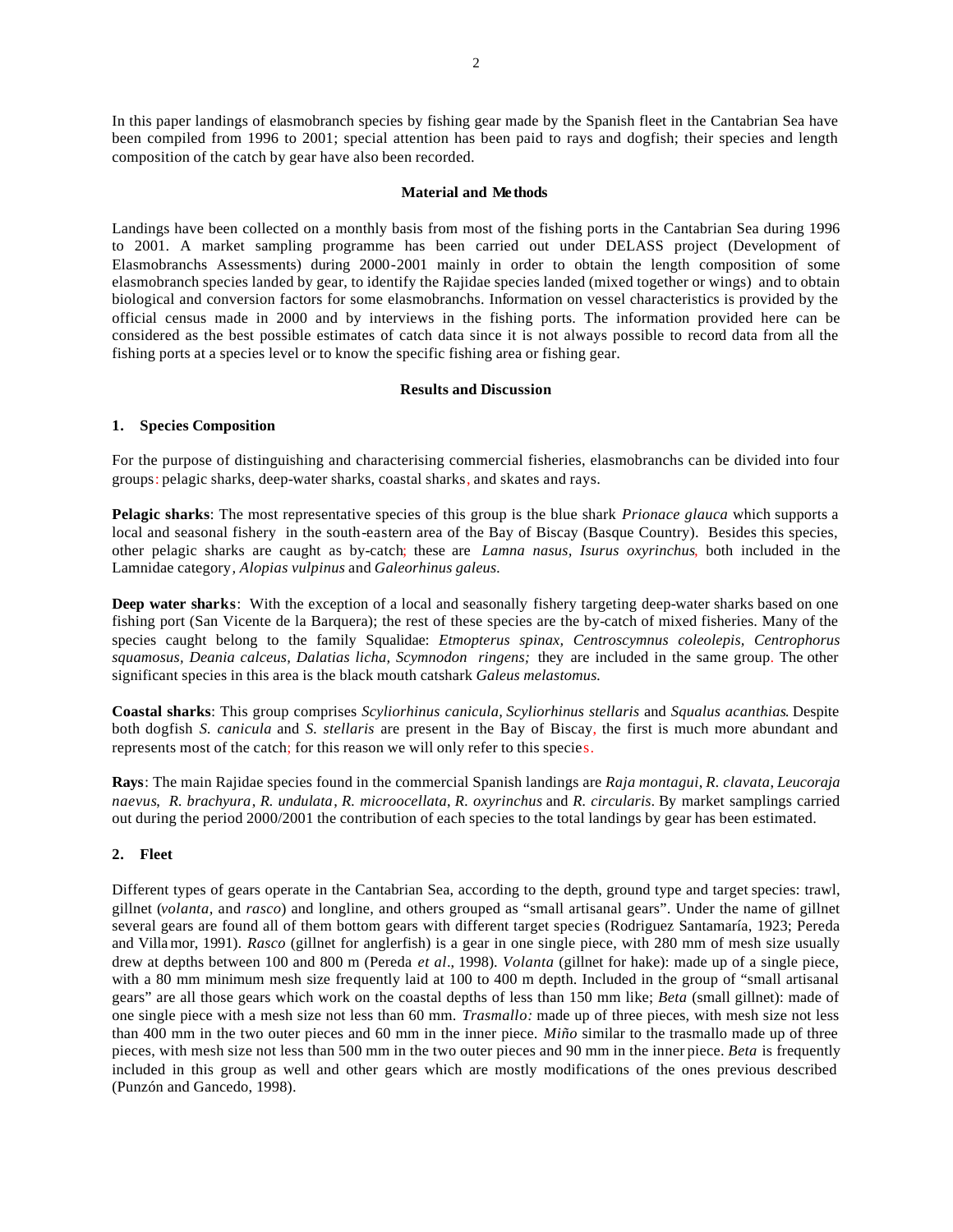In this paper landings of elasmobranch species by fishing gear made by the Spanish fleet in the Cantabrian Sea have been compiled from 1996 to 2001; special attention has been paid to rays and dogfish; their species and length composition of the catch by gear have also been recorded.

#### **Material and Me thods**

Landings have been collected on a monthly basis from most of the fishing ports in the Cantabrian Sea during 1996 to 2001. A market sampling programme has been carried out under DELASS project (Development of Elasmobranchs Assessments) during 2000-2001 mainly in order to obtain the length composition of some elasmobranch species landed by gear, to identify the Rajidae species landed (mixed together or wings) and to obtain biological and conversion factors for some elasmobranchs. Information on vessel characteristics is provided by the official census made in 2000 and by interviews in the fishing ports. The information provided here can be considered as the best possible estimates of catch data since it is not always possible to record data from all the fishing ports at a species level or to know the specific fishing area or fishing gear.

#### **Results and Discussion**

#### **1. Species Composition**

For the purpose of distinguishing and characterising commercial fisheries, elasmobranchs can be divided into four groups: pelagic sharks, deep-water sharks, coastal sharks, and skates and rays.

**Pelagic sharks**: The most representative species of this group is the blue shark *Prionace glauca* which supports a local and seasonal fishery in the south-eastern area of the Bay of Biscay (Basque Country). Besides this species, other pelagic sharks are caught as by-catch; these are *Lamna nasus, Isurus oxyrinchus,* both included in the Lamnidae category*, Alopias vulpinus* and *Galeorhinus galeus.*

**Deep water sharks**:With the exception of a local and seasonally fishery targeting deep-water sharks based on one fishing port (San Vicente de la Barquera); the rest of these species are the by-catch of mixed fisheries. Many of the species caught belong to the family Squalidae: *Etmopterus spinax, Centroscymnus coleolepis, Centrophorus squamosus, Deania calceus, Dalatias licha, Scymnodon ringens;* they are included in the same group. The other significant species in this area is the black mouth catshark *Galeus melastomus.*

**Coastal sharks**: This group comprises *Scyliorhinus canicula, Scyliorhinus stellaris* and *Squalus acanthias*. Despite both dogfish *S. canicula* and *S. stellaris* are present in the Bay of Biscay, the first is much more abundant and represents most of the catch; for this reason we will only refer to this species.

**Rays**: The main Rajidae species found in the commercial Spanish landings are *Raja montagui*, *R. clavata*, *Leucoraja naevus*, *R. brachyura*, *R. undulata*, *R. microocellata*, *R. oxyrinchus* and *R. circularis*. By market samplings carried out during the period 2000/2001 the contribution of each species to the total landings by gear has been estimated.

## **2. Fleet**

Different types of gears operate in the Cantabrian Sea, according to the depth, ground type and target species: trawl, gillnet (*volanta,* and *rasco*) and longline, and others grouped as "small artisanal gears". Under the name of gillnet several gears are found all of them bottom gears with different target species (Rodriguez Santamaría, 1923; Pereda and Villamor, 1991). *Rasco* (gillnet for anglerfish) is a gear in one single piece, with 280 mm of mesh size usually drew at depths between 100 and 800 m (Pereda *et al*., 1998). *Volanta* (gillnet for hake): made up of a single piece, with a 80 mm minimum mesh size frequently laid at 100 to 400 m depth. Included in the group of "small artisanal gears" are all those gears which work on the coastal depths of less than 150 mm like; *Beta* (small gillnet): made of one single piece with a mesh size not less than 60 mm. *Trasmallo:* made up of three pieces, with mesh size not less than 400 mm in the two outer pieces and 60 mm in the inner piece. *Miño* similar to the trasmallo made up of three pieces, with mesh size not less than 500 mm in the two outer pieces and 90 mm in the inner piece. *Beta* is frequently included in this group as well and other gears which are mostly modifications of the ones previous described (Punzón and Gancedo, 1998).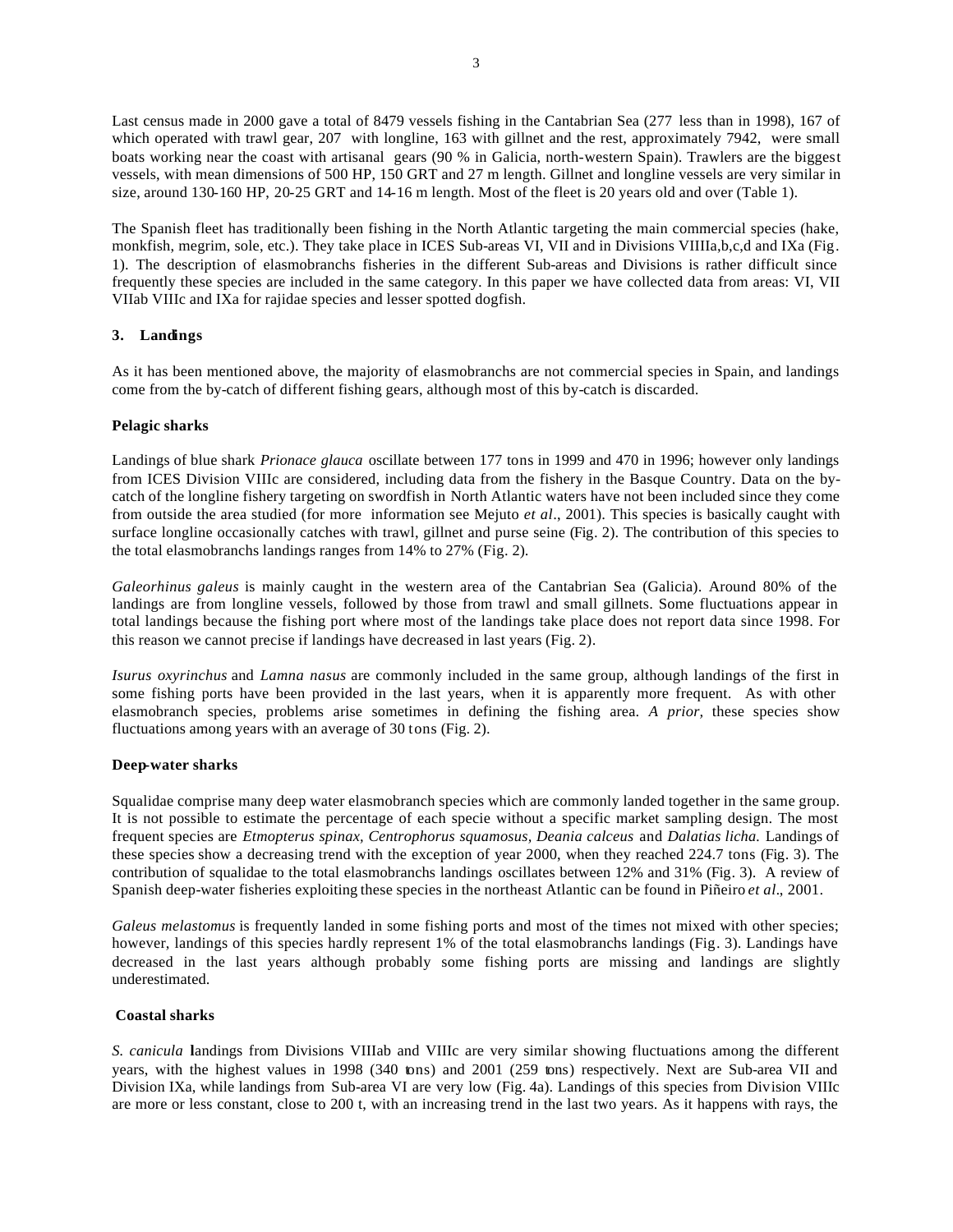Last census made in 2000 gave a total of 8479 vessels fishing in the Cantabrian Sea (277 less than in 1998), 167 of which operated with trawl gear, 207 with longline, 163 with gillnet and the rest, approximately 7942, were small boats working near the coast with artisanal gears (90 % in Galicia, north-western Spain). Trawlers are the biggest vessels, with mean dimensions of 500 HP, 150 GRT and 27 m length. Gillnet and longline vessels are very similar in size, around 130-160 HP, 20-25 GRT and 14-16 m length. Most of the fleet is 20 years old and over (Table 1).

The Spanish fleet has traditionally been fishing in the North Atlantic targeting the main commercial species (hake, monkfish, megrim, sole, etc.). They take place in ICES Sub-areas VI, VII and in Divisions VIIIIa,b,c,d and IXa (Fig. 1). The description of elasmobranchs fisheries in the different Sub-areas and Divisions is rather difficult since frequently these species are included in the same category. In this paper we have collected data from areas: VI, VII VIIab VIIIc and IXa for rajidae species and lesser spotted dogfish.

## **3. Landings**

As it has been mentioned above, the majority of elasmobranchs are not commercial species in Spain, and landings come from the by-catch of different fishing gears, although most of this by-catch is discarded.

## **Pelagic sharks**

Landings of blue shark *Prionace glauca* oscillate between 177 tons in 1999 and 470 in 1996; however only landings from ICES Division VIIIc are considered, including data from the fishery in the Basque Country. Data on the bycatch of the longline fishery targeting on swordfish in North Atlantic waters have not been included since they come from outside the area studied (for more information see Mejuto *et al*., 2001). This species is basically caught with surface longline occasionally catches with trawl, gillnet and purse seine (Fig. 2). The contribution of this species to the total elasmobranchs landings ranges from 14% to 27% (Fig. 2).

*Galeorhinus galeus* is mainly caught in the western area of the Cantabrian Sea (Galicia). Around 80% of the landings are from longline vessels, followed by those from trawl and small gillnets. Some fluctuations appear in total landings because the fishing port where most of the landings take place does not report data since 1998. For this reason we cannot precise if landings have decreased in last years (Fig. 2).

*Isurus oxyrinchus* and *Lamna nasus* are commonly included in the same group, although landings of the first in some fishing ports have been provided in the last years, when it is apparently more frequent. As with other elasmobranch species, problems arise sometimes in defining the fishing area. *A prior,* these species show fluctuations among years with an average of 30 tons (Fig. 2).

## **Deep-water sharks**

Squalidae comprise many deep water elasmobranch species which are commonly landed together in the same group. It is not possible to estimate the percentage of each specie without a specific market sampling design. The most frequent species are *Etmopterus spinax, Centrophorus squamosus, Deania calceus* and *Dalatias licha.* Landings of these species show a decreasing trend with the exception of year 2000, when they reached 224.7 tons (Fig. 3). The contribution of squalidae to the total elasmobranchs landings oscillates between 12% and 31% (Fig. 3). A review of Spanish deep-water fisheries exploiting these species in the northeast Atlantic can be found in Piñeiro *et al.*, 2001.

*Galeus melastomus* is frequently landed in some fishing ports and most of the times not mixed with other species; however, landings of this species hardly represent 1% of the total elasmobranchs landings (Fig. 3). Landings have decreased in the last years although probably some fishing ports are missing and landings are slightly underestimated.

## **Coastal sharks**

*S. canicula* **l**andings from Divisions VIIIab and VIIIc are very similar showing fluctuations among the different years, with the highest values in 1998 (340 tons) and 2001 (259 tons) respectively. Next are Sub-area VII and Division IXa, while landings from Sub-area VI are very low (Fig. 4a). Landings of this species from Division VIIIc are more or less constant, close to 200 t, with an increasing trend in the last two years. As it happens with rays, the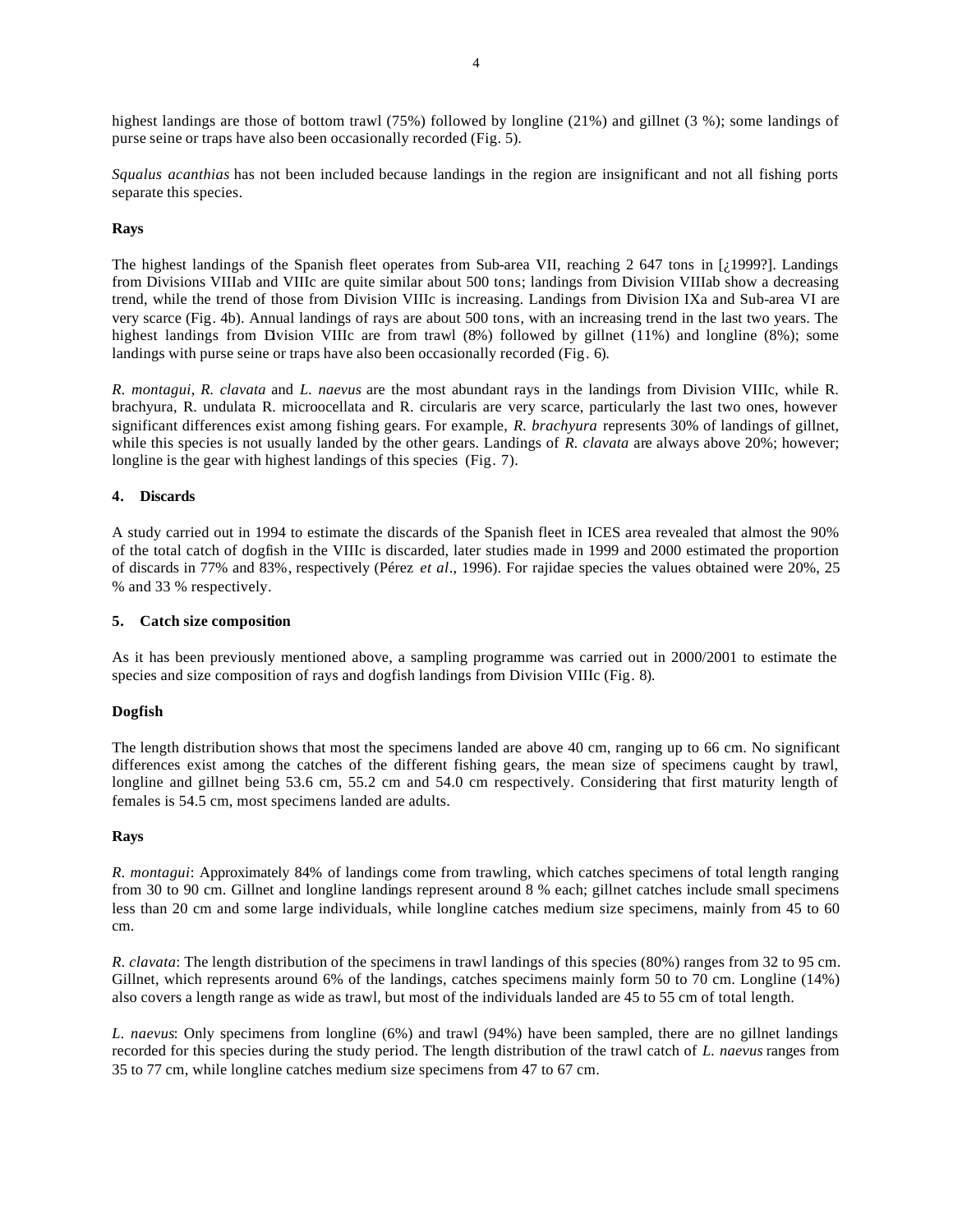highest landings are those of bottom trawl (75%) followed by longline (21%) and gillnet (3 %); some landings of purse seine or traps have also been occasionally recorded (Fig. 5).

*Squalus acanthias* has not been included because landings in the region are insignificant and not all fishing ports separate this species.

## **Rays**

The highest landings of the Spanish fleet operates from Sub-area VII, reaching 2 647 tons in [¿1999?]. Landings from Divisions VIIIab and VIIIc are quite similar about 500 tons; landings from Division VIIIab show a decreasing trend, while the trend of those from Division VIIIc is increasing. Landings from Division IXa and Sub-area VI are very scarce (Fig. 4b). Annual landings of rays are about 500 tons, with an increasing trend in the last two years. The highest landings from Division VIIIc are from trawl  $(8%)$  followed by gillnet  $(11%)$  and longline  $(8%)$ ; some landings with purse seine or traps have also been occasionally recorded (Fig. 6).

*R. montagui*, *R. clavata* and *L. naevus* are the most abundant rays in the landings from Division VIIIc, while R. brachyura, R. undulata R. microocellata and R. circularis are very scarce, particularly the last two ones, however significant differences exist among fishing gears. For example, *R. brachyura* represents 30% of landings of gillnet, while this species is not usually landed by the other gears. Landings of *R. clavata* are always above 20%; however; longline is the gear with highest landings of this species (Fig. 7).

# **4. Discards**

A study carried out in 1994 to estimate the discards of the Spanish fleet in ICES area revealed that almost the 90% of the total catch of dogfish in the VIIIc is discarded, later studies made in 1999 and 2000 estimated the proportion of discards in 77% and 83%, respectively (Pérez *et al*., 1996). For rajidae species the values obtained were 20%, 25 % and 33 % respectively.

## **5. Catch size composition**

As it has been previously mentioned above, a sampling programme was carried out in 2000/2001 to estimate the species and size composition of rays and dogfish landings from Division VIIIc (Fig. 8).

## **Dogfish**

The length distribution shows that most the specimens landed are above 40 cm, ranging up to 66 cm. No significant differences exist among the catches of the different fishing gears, the mean size of specimens caught by trawl, longline and gillnet being 53.6 cm, 55.2 cm and 54.0 cm respectively. Considering that first maturity length of females is 54.5 cm, most specimens landed are adults.

## **Rays**

*R. montagui*: Approximately 84% of landings come from trawling, which catches specimens of total length ranging from 30 to 90 cm. Gillnet and longline landings represent around 8 % each; gillnet catches include small specimens less than 20 cm and some large individuals, while longline catches medium size specimens, mainly from 45 to 60 cm.

*R. clavata*: The length distribution of the specimens in trawl landings of this species (80%) ranges from 32 to 95 cm. Gillnet, which represents around 6% of the landings, catches specimens mainly form 50 to 70 cm. Longline (14%) also covers a length range as wide as trawl, but most of the individuals landed are 45 to 55 cm of total length.

*L. naevus*: Only specimens from longline (6%) and trawl (94%) have been sampled, there are no gillnet landings recorded for this species during the study period. The length distribution of the trawl catch of *L. naevus* ranges from 35 to 77 cm, while longline catches medium size specimens from 47 to 67 cm.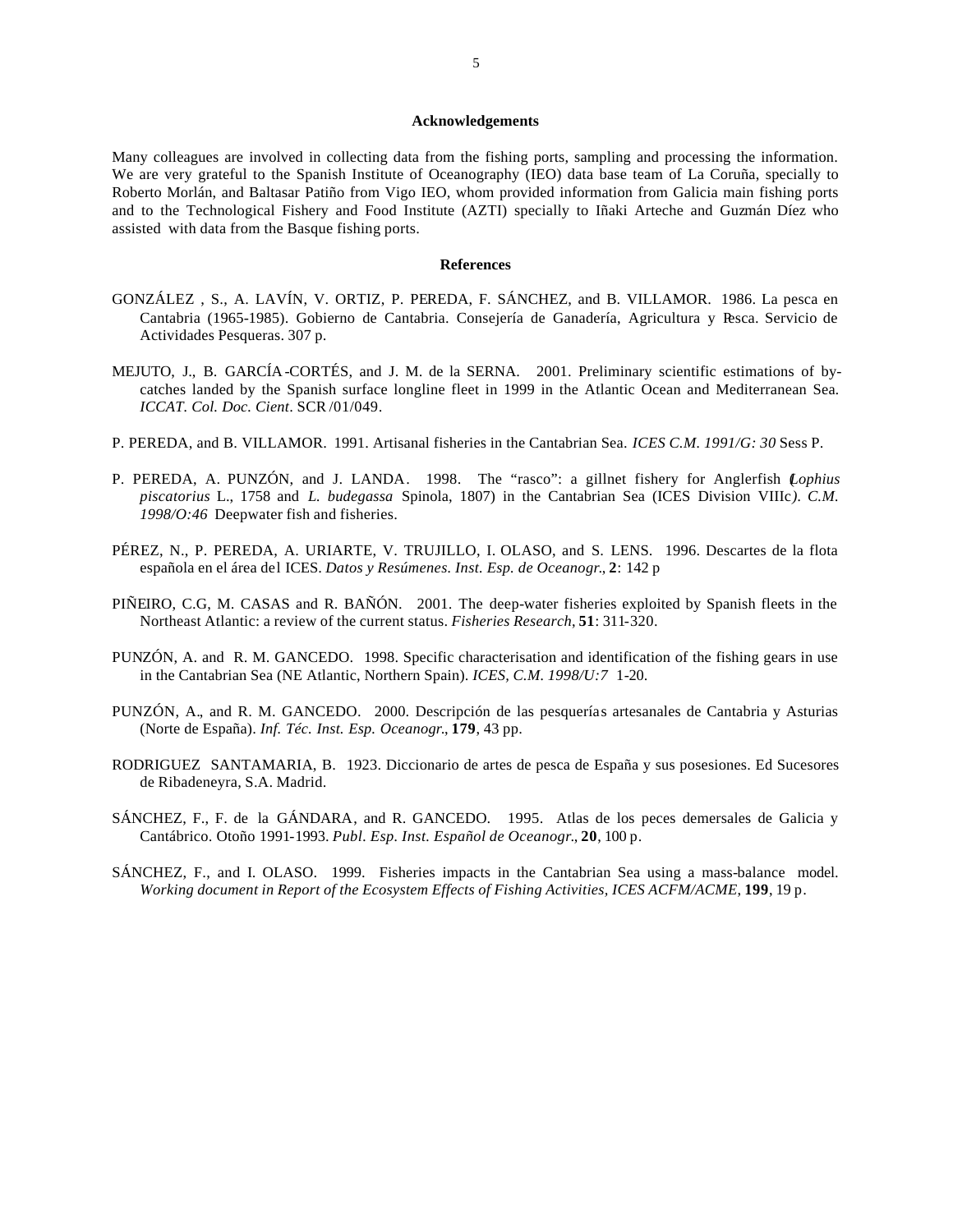#### **Acknowledgements**

Many colleagues are involved in collecting data from the fishing ports, sampling and processing the information. We are very grateful to the Spanish Institute of Oceanography (IEO) data base team of La Coruña, specially to Roberto Morlán, and Baltasar Patiño from Vigo IEO, whom provided information from Galicia main fishing ports and to the Technological Fishery and Food Institute (AZTI) specially to Iñaki Arteche and Guzmán Díez who assisted with data from the Basque fishing ports.

#### **References**

- GONZÁLEZ , S., A. LAVÍN, V. ORTIZ, P. PEREDA, F. SÁNCHEZ, and B. VILLAMOR. 1986. La pesca en Cantabria (1965-1985). Gobierno de Cantabria. Consejería de Ganadería, Agricultura y Pesca. Servicio de Actividades Pesqueras. 307 p.
- MEJUTO, J., B. GARCÍA -CORTÉS, and J. M. de la SERNA. 2001. Preliminary scientific estimations of bycatches landed by the Spanish surface longline fleet in 1999 in the Atlantic Ocean and Mediterranean Sea*. ICCAT. Col. Doc. Cient*. SCR /01/049.
- P. PEREDA, and B. VILLAMOR. 1991. Artisanal fisheries in the Cantabrian Sea. *ICES C.M. 1991/G: 30* Sess P.
- P. PEREDA, A. PUNZÓN, and J. LANDA. 1998. The "rasco": a gillnet fishery for Anglerfish (*Lophius piscatorius* L., 1758 and *L. budegassa* Spinola, 1807) in the Cantabrian Sea (ICES Division VIIIc*). C.M. 1998/O:46* Deepwater fish and fisheries.
- PÉREZ, N., P. PEREDA, A. URIARTE, V. TRUJILLO, I. OLASO, and S. LENS. 1996. Descartes de la flota española en el área del ICES. *Datos y Resúmenes. Inst. Esp. de Oceanogr*., **2**: 142 p
- PIÑEIRO, C.G, M. CASAS and R. BAÑÓN. 2001. The deep-water fisheries exploited by Spanish fleets in the Northeast Atlantic: a review of the current status. *Fisheries Research*, **51**: 311-320.
- PUNZÓN, A. and R. M. GANCEDO. 1998. Specific characterisation and identification of the fishing gears in use in the Cantabrian Sea (NE Atlantic, Northern Spain). *ICES, C.M. 1998/U:7* 1-20.
- PUNZÓN, A., and R. M. GANCEDO. 2000. Descripción de las pesquerías artesanales de Cantabria y Asturias (Norte de España). *Inf. Téc. Inst. Esp. Oceanogr*., **179**, 43 pp.
- RODRIGUEZ SANTAMARIA, B. 1923. Diccionario de artes de pesca de España y sus posesiones. Ed Sucesores de Ribadeneyra, S.A. Madrid.
- SÁNCHEZ, F., F. de la GÁNDARA, and R. GANCEDO. 1995. Atlas de los peces demersales de Galicia y Cantábrico. Otoño 1991-1993. *Publ. Esp. Inst. Español de Oceanogr*., **20**, 100 p.
- SÁNCHEZ, F., and I. OLASO. 1999. Fisheries impacts in the Cantabrian Sea using a mass-balance model. *Working document in Report of the Ecosystem Effects of Fishing Activities, ICES ACFM/ACME*, **199**, 19 p.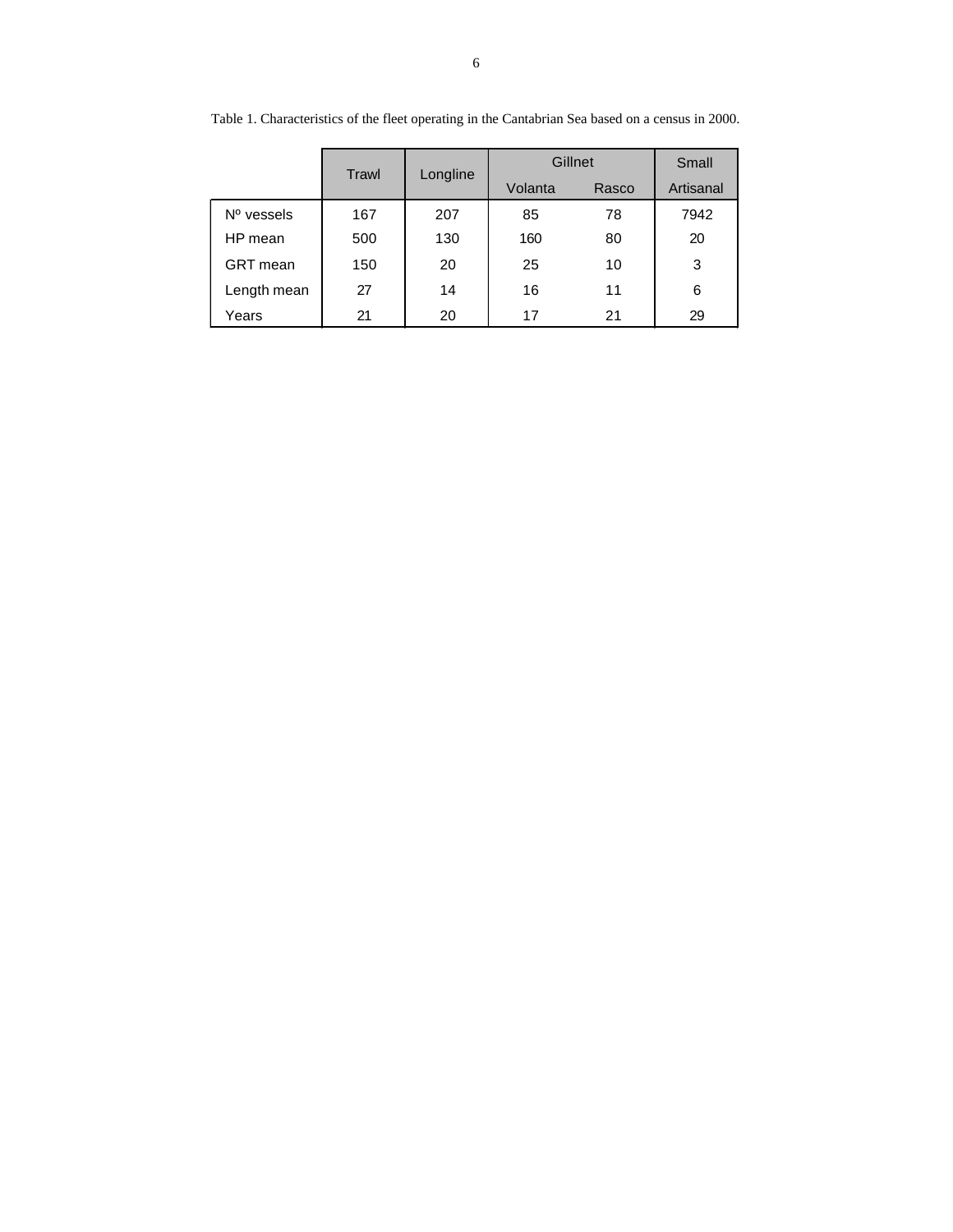|                 | Trawl | Longline | Gillnet |       | Small     |
|-----------------|-------|----------|---------|-------|-----------|
|                 |       |          | Volanta | Rasco | Artisanal |
| $No$ vessels    | 167   | 207      | 85      | 78    | 7942      |
| HP mean         | 500   | 130      | 160     | 80    | 20        |
| <b>GRT</b> mean | 150   | 20       | 25      | 10    | 3         |
| Length mean     | 27    | 14       | 16      | 11    | 6         |
| Years           | 21    | 20       | 17      | 21    | 29        |

Table 1. Characteristics of the fleet operating in the Cantabrian Sea based on a census in 2000.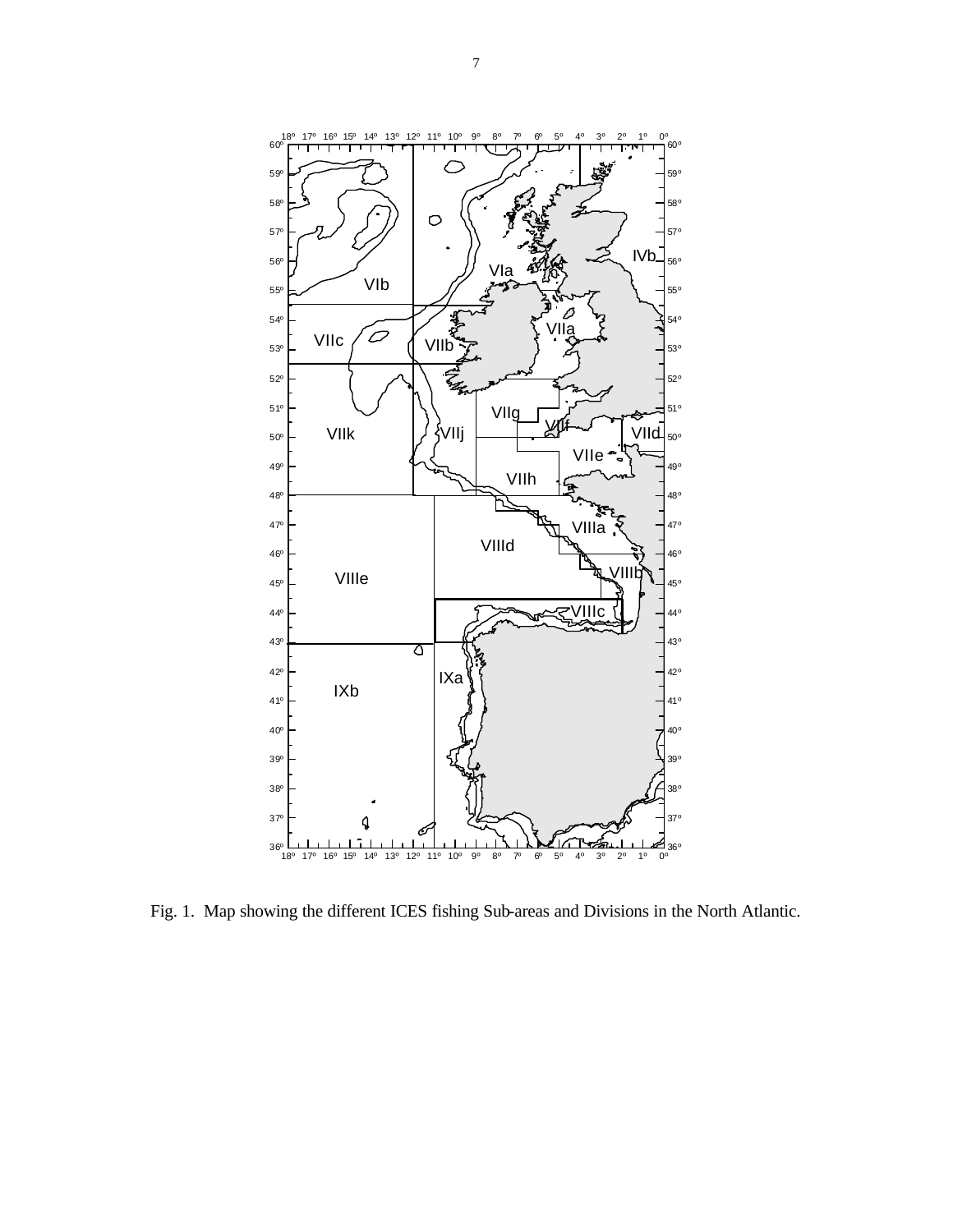

Fig. 1. Map showing the different ICES fishing Sub-areas and Divisions in the North Atlantic.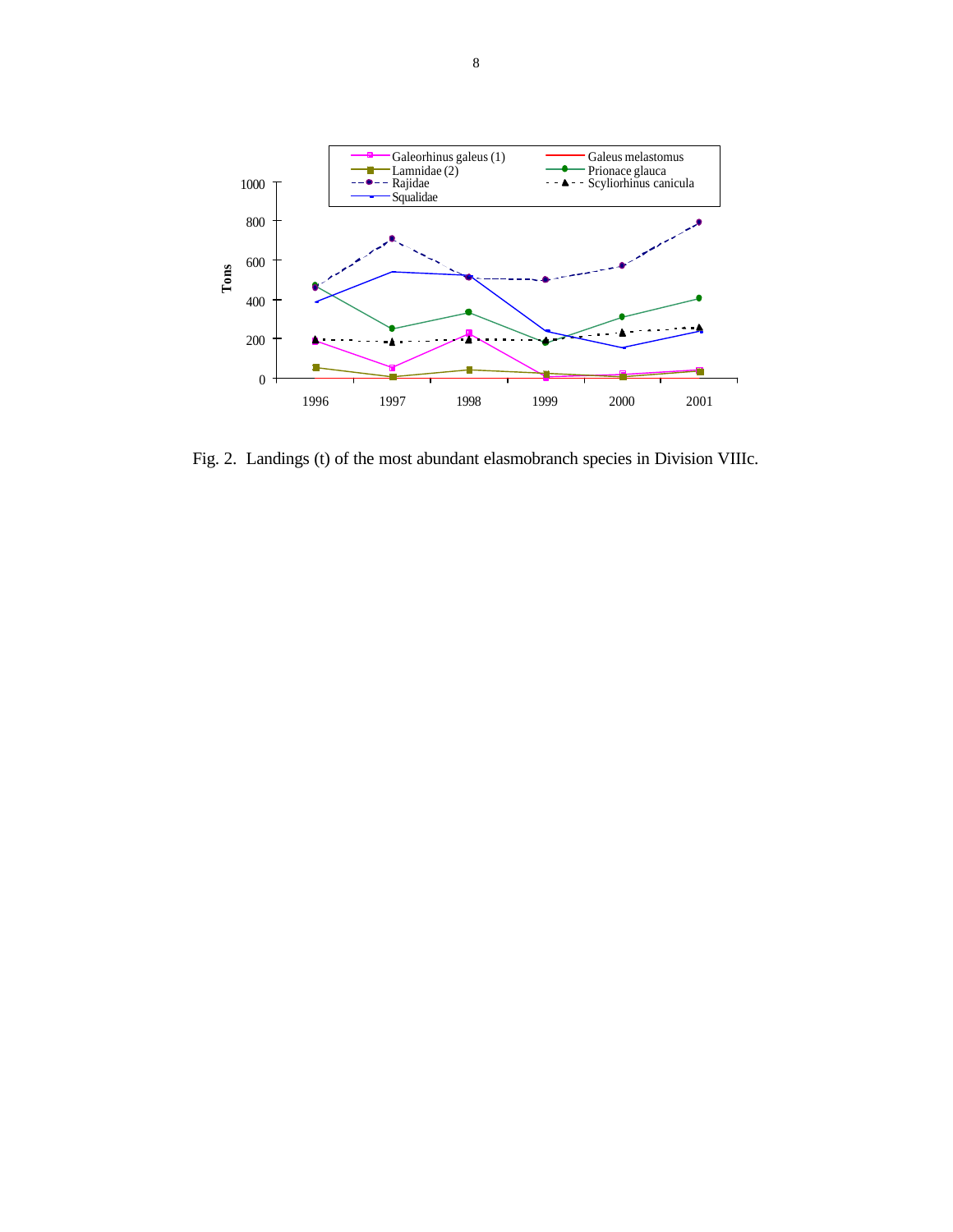

Fig. 2. Landings (t) of the most abundant elasmobranch species in Division VIIIc.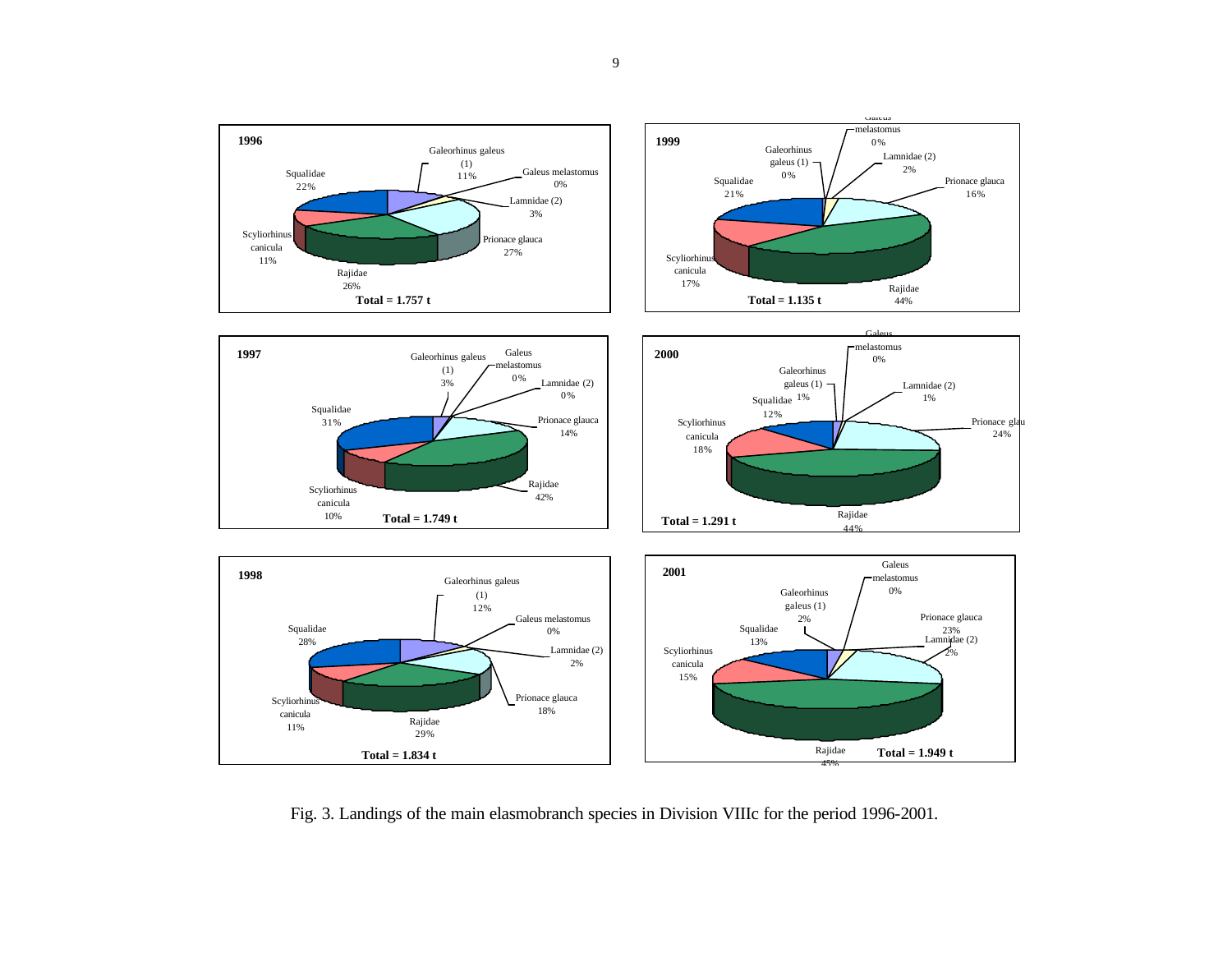

Fig. 3. Landings of the main elasmobranch species in Division VIIIc for the period 1996-2001.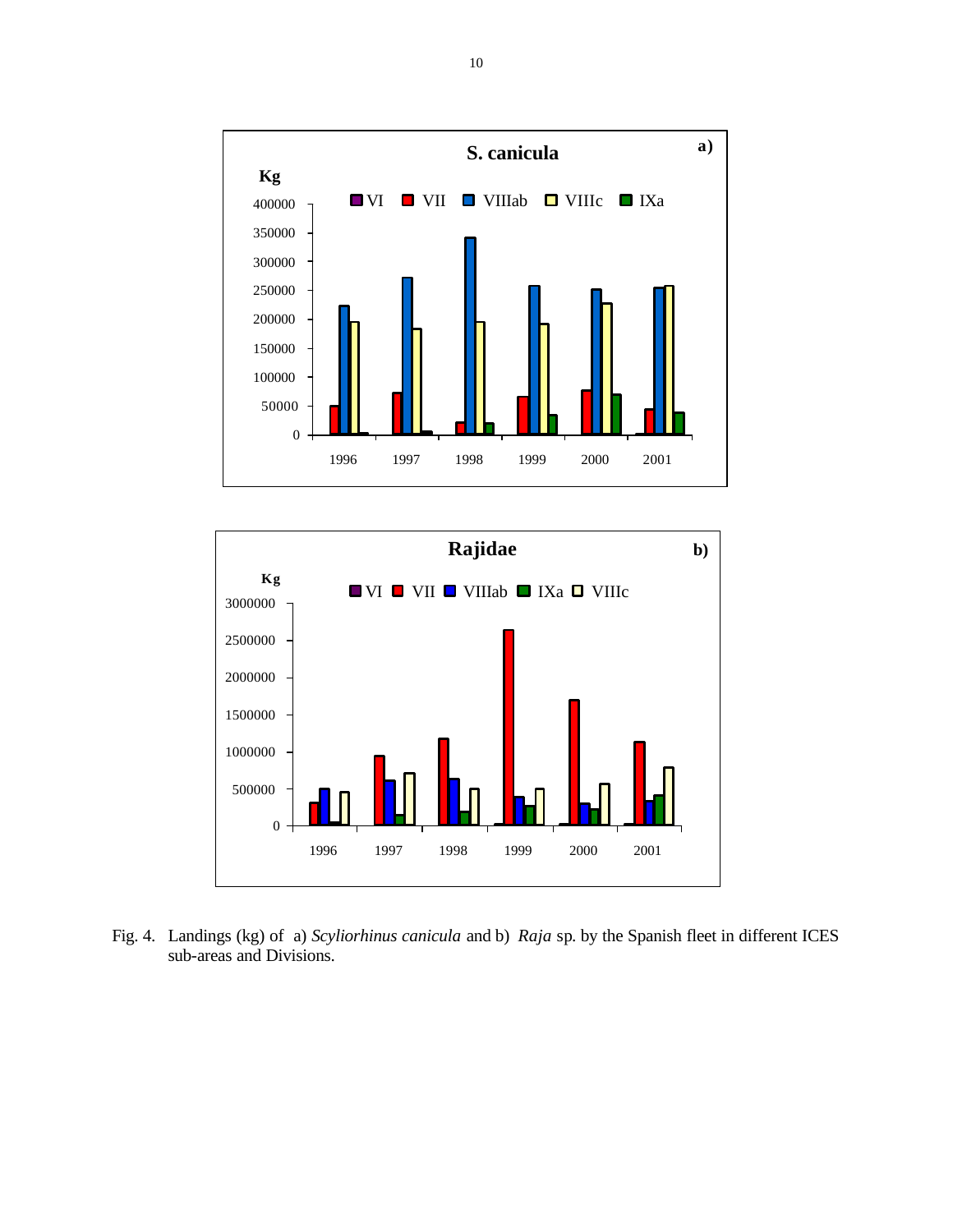



Fig. 4. Landings (kg) of a) *Scyliorhinus canicula* and b) *Raja* sp. by the Spanish fleet in different ICES sub-areas and Divisions.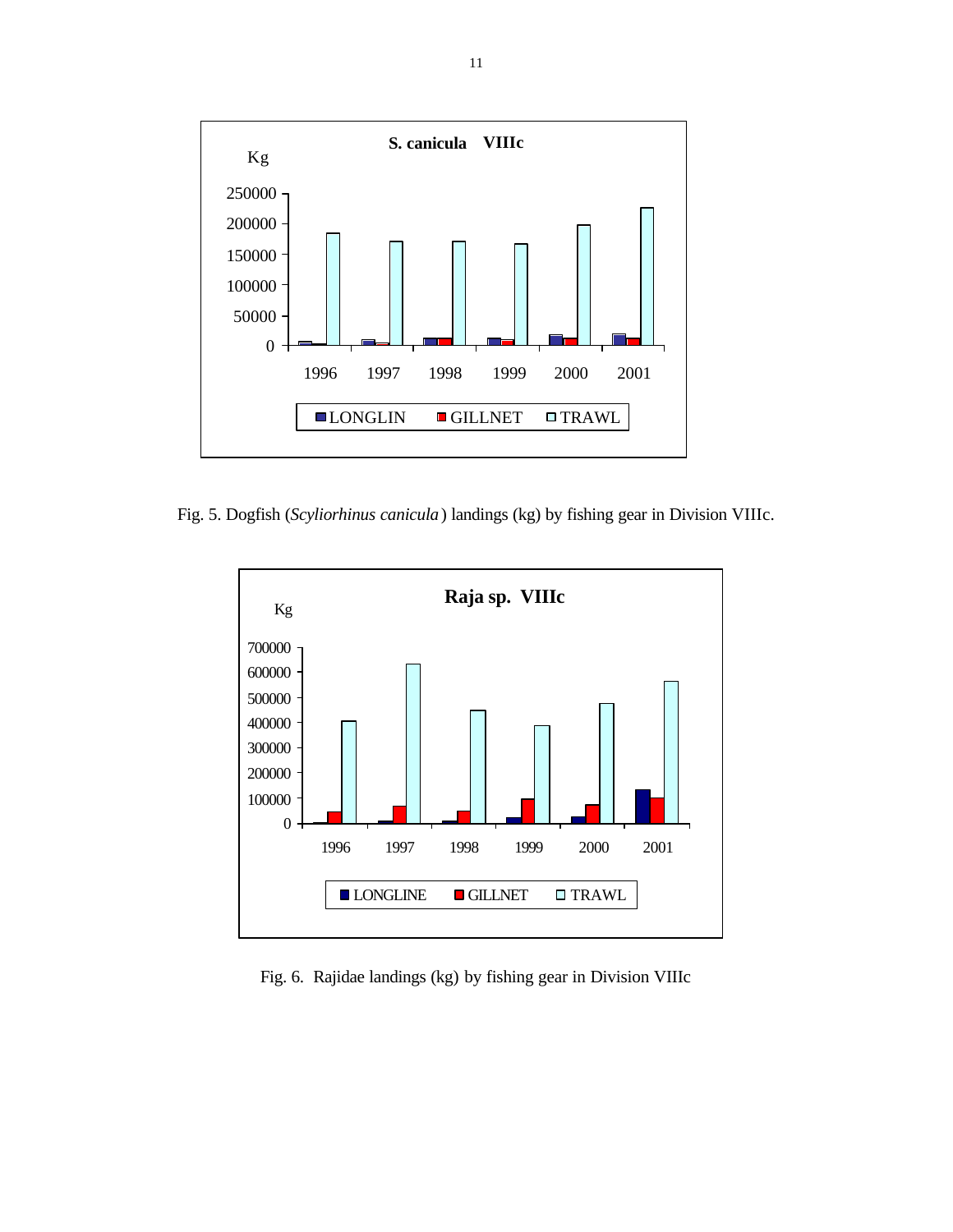

Fig. 5. Dogfish (*Scyliorhinus canicula*) landings (kg) by fishing gear in Division VIIIc.



Fig. 6. Rajidae landings (kg) by fishing gear in Division VIIIc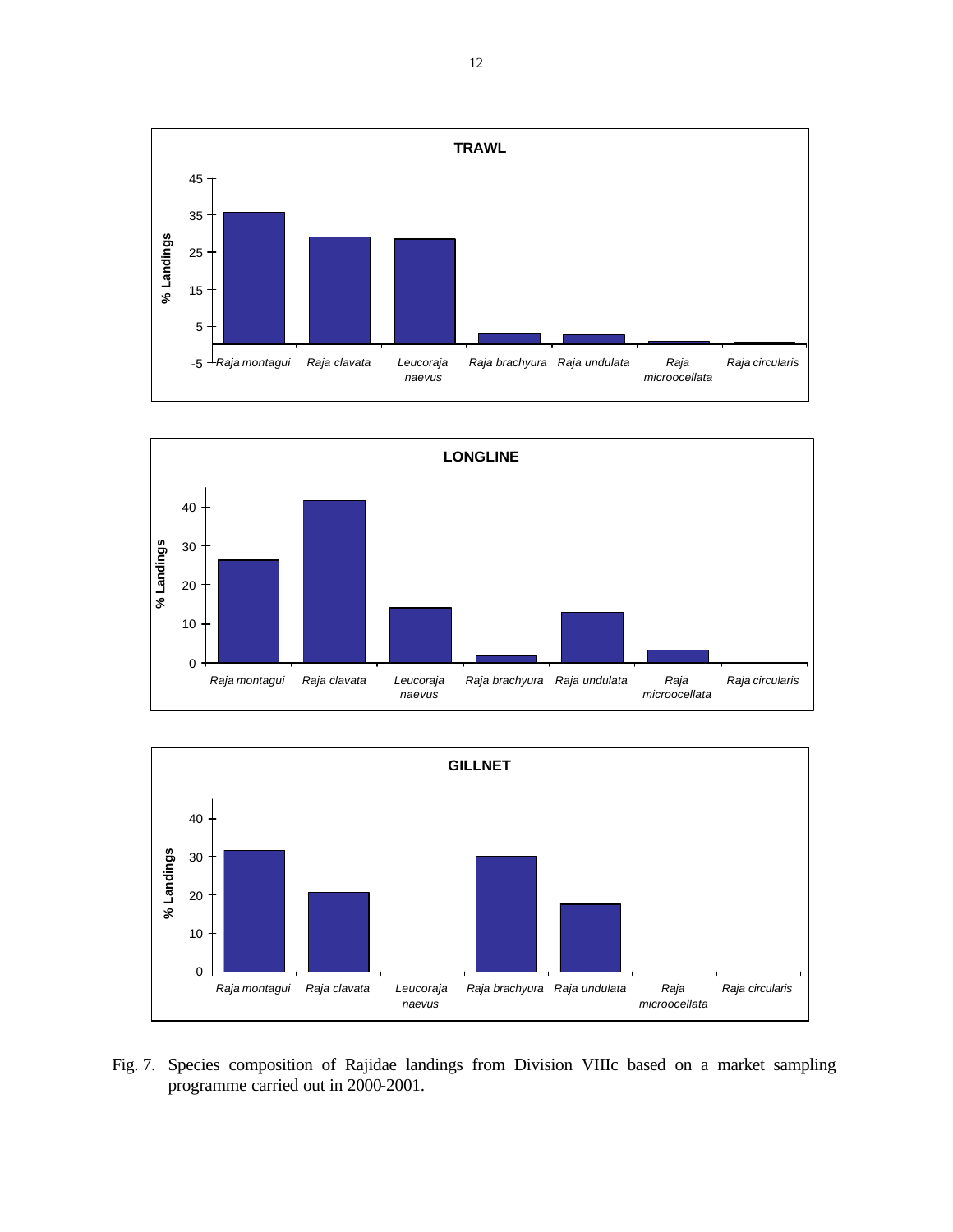





Fig. 7. Species composition of Rajidae landings from Division VIIIc based on a market sampling programme carried out in 2000-2001.